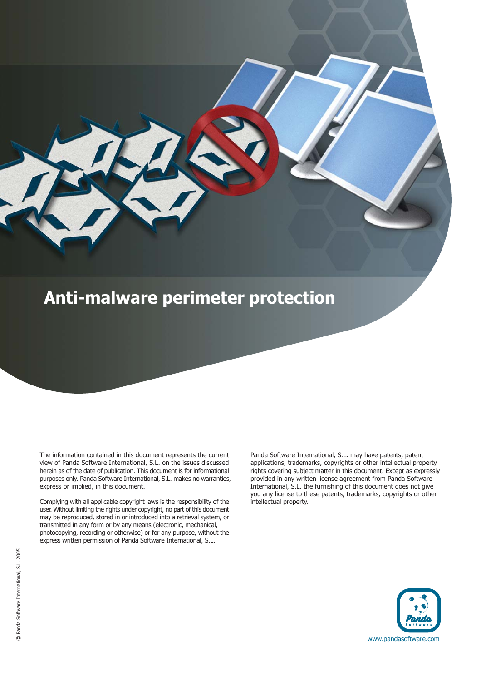# **Anti-malware perimeter protection**

The information contained in this document represents the current view of Panda Software International, S.L. on the issues discussed herein as of the date of publication. This document is for informational purposes only. Panda Software International, S.L. makes no warranties, express or implied, in this document.

Complying with all applicable copyright laws is the responsibility of the user. Without limiting the rights under copyright, no part of this document may be reproduced, stored in or introduced into a retrieval system, or transmitted in any form or by any means (electronic, mechanical, photocopying, recording or otherwise) or for any purpose, without the express written permission of Panda Software International, S.L.

Panda Software International, S.L. may have patents, patent applications, trademarks, copyrights or other intellectual property rights covering subject matter in this document. Except as expressly provided in any written license agreement from Panda Software International, S.L. the furnishing of this document does not give you any license to these patents, trademarks, copyrights or other intellectual property.

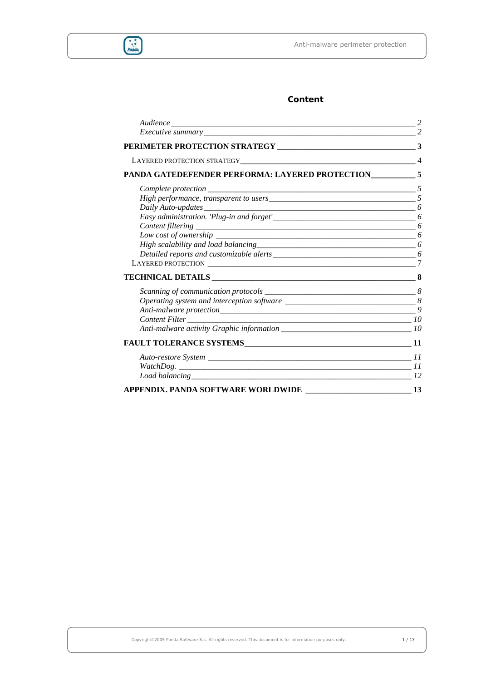

# **Content**

| PANDA GATEDEFENDER PERFORMA: LAYERED PROTECTION____________5         |                |
|----------------------------------------------------------------------|----------------|
|                                                                      |                |
|                                                                      |                |
|                                                                      |                |
| Daily Auto-updates<br>Easy administration. 'Plug-in and forget'<br>6 |                |
|                                                                      |                |
|                                                                      |                |
|                                                                      |                |
|                                                                      |                |
|                                                                      |                |
| TECHNICAL DETAILS RESERVED AND RESERVED ASSESSED.                    |                |
|                                                                      |                |
|                                                                      |                |
|                                                                      | $\overline{Q}$ |
|                                                                      |                |
|                                                                      |                |
|                                                                      |                |
|                                                                      |                |
|                                                                      |                |
|                                                                      |                |
| APPENDIX. PANDA SOFTWARE WORLDWIDE ____________________________13    |                |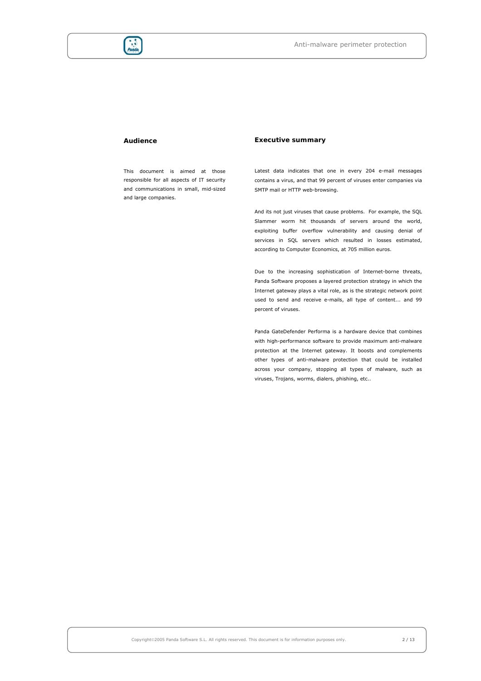

#### **Audience**

This document is aimed at those responsible for all aspects of IT security and communications in small, mid-sized and large companies.

## **Executive summary**

Latest data indicates that one in every 204 e-mail messages contains a virus, and that 99 percent of viruses enter companies via SMTP mail or HTTP web-browsing.

And its not just viruses that cause problems. For example, the SOL Slammer worm hit thousands of servers around the world, exploiting buffer overflow vulnerability and causing denial of services in SQL servers which resulted in losses estimated, according to Computer Economics, at 705 million euros.

Due to the increasing sophistication of Internet-borne threats, Panda Software proposes a layered protection strategy in which the Internet gateway plays a vital role, as is the strategic network point used to send and receive e-mails, all type of content... and 99 percent of viruses.

Panda GateDefender Performa is a hardware device that combines with high-performance software to provide maximum anti-malware protection at the Internet gateway. It boosts and complements other types of anti-malware protection that could be installed across your company, stopping all types of malware, such as viruses, Trojans, worms, dialers, phishing, etc..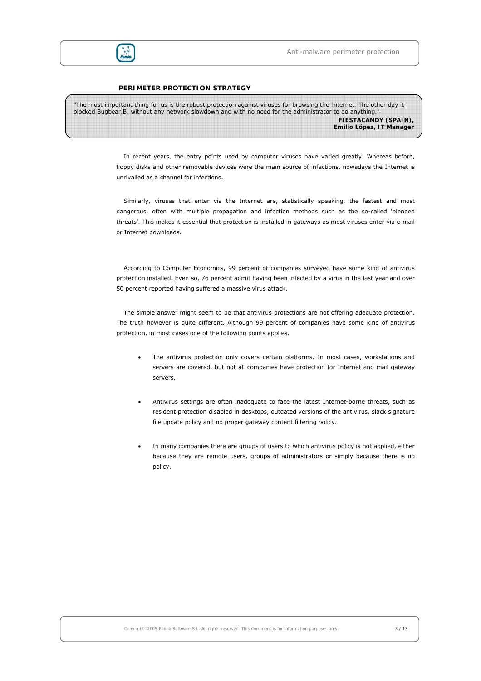

#### **PERIMETER PROTECTION STRATEGY**

| "The most important thing for us is the robust protection against viruses for browsing the Internet. The other day it |                          |
|-----------------------------------------------------------------------------------------------------------------------|--------------------------|
| blocked Bugbear. B, without any network slowdown and with no need for the administrator to do anything."              |                          |
|                                                                                                                       | FIESTACANDY (SPAIN),     |
|                                                                                                                       | Emilio López, IT Manager |

In recent years, the entry points used by computer viruses have varied greatly. Whereas before, floppy disks and other removable devices were the main source of infections, nowadays the Internet is unrivalled as a channel for infections.

Similarly, viruses that enter via the Internet are, statistically speaking, the fastest and most dangerous, often with multiple propagation and infection methods such as the so-called 'blended threats'. This makes it essential that protection is installed in gateways as most viruses enter via e-mail or Internet downloads.

According to Computer Economics, 99 percent of companies surveyed have some kind of antivirus protection installed. Even so, 76 percent admit having been infected by a virus in the last year and over 50 percent reported having suffered a massive virus attack.

The simple answer might seem to be that antivirus protections are not offering adequate protection. The truth however is quite different. Although 99 percent of companies have some kind of antivirus protection, in most cases one of the following points applies.

- The antivirus protection only covers certain platforms. In most cases, workstations and servers are covered, but not all companies have protection for Internet and mail gateway servers.
- Antivirus settings are often inadequate to face the latest Internet-borne threats, such as resident protection disabled in desktops, outdated versions of the antivirus, slack signature file update policy and no proper gateway content filtering policy.
- In many companies there are groups of users to which antivirus policy is not applied, either because they are remote users, groups of administrators or simply because there is no policy.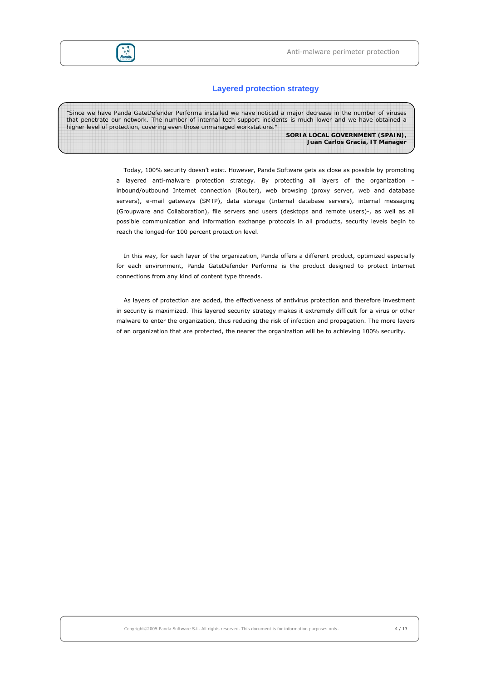

# **Layered protection strategy**

| "Since we have Panda GateDefender Performa installed we have noticed a major decrease in the number of viruses<br>that penetrate our network. The number of internal tech support incidents is much lower and we have obtained a<br>higher level of protection, covering even those unmanaged workstations." |
|--------------------------------------------------------------------------------------------------------------------------------------------------------------------------------------------------------------------------------------------------------------------------------------------------------------|
| SORIA LOCAL GOVERNMENT (SPAIN),<br>Juan Carlos Gracia, IT Manager                                                                                                                                                                                                                                            |
|                                                                                                                                                                                                                                                                                                              |
|                                                                                                                                                                                                                                                                                                              |

Today, 100% security doesn't exist. However, Panda Software gets as close as possible by promoting a layered anti-malware protection strategy. By protecting all layers of the organization – inbound/outbound Internet connection (Router), web browsing (proxy server, web and database servers), e-mail gateways (SMTP), data storage (Internal database servers), internal messaging (Groupware and Collaboration), file servers and users (desktops and remote users)-, as well as all possible communication and information exchange protocols in all products, security levels begin to reach the longed-for 100 percent protection level.

In this way, for each layer of the organization, Panda offers a different product, optimized especially for each environment, Panda GateDefender Performa is the product designed to protect Internet connections from any kind of content type threads.

As layers of protection are added, the effectiveness of antivirus protection and therefore investment in security is maximized. This layered security strategy makes it extremely difficult for a virus or other malware to enter the organization, thus reducing the risk of infection and propagation. The more layers of an organization that are protected, the nearer the organization will be to achieving 100% security.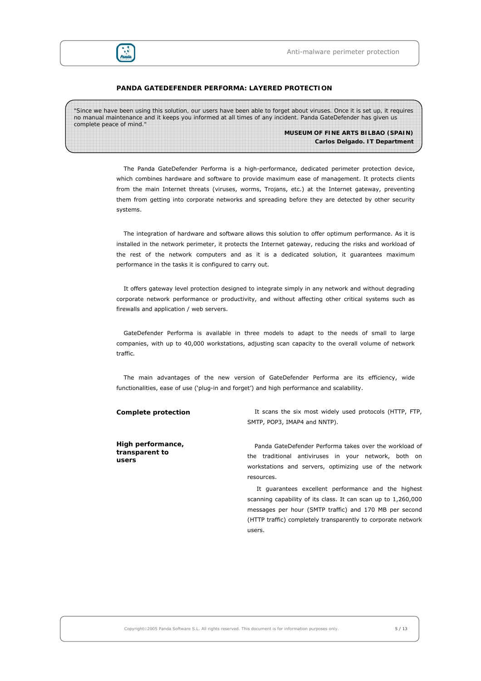

#### **PANDA GATEDEFENDER PERFORMA: LAYERED PROTECTION**

| "Since we have been using this solution, our users have been able to forget about viruses. Once it is set up, it requires<br>no manual maintenance and it keeps you informed at all times of any incident. Panda GateDefender has given us |                                      |
|--------------------------------------------------------------------------------------------------------------------------------------------------------------------------------------------------------------------------------------------|--------------------------------------|
| complete peace of mind."                                                                                                                                                                                                                   |                                      |
|                                                                                                                                                                                                                                            | MUSEUM OF FINE ARTS BILBAO (SPAIN)   |
|                                                                                                                                                                                                                                            | <b>Carlos Delgado. IT Department</b> |

The Panda GateDefender Performa is a high-performance, dedicated perimeter protection device, which combines hardware and software to provide maximum ease of management. It protects clients from the main Internet threats (viruses, worms, Trojans, etc.) at the Internet gateway, preventing them from getting into corporate networks and spreading before they are detected by other security systems.

The integration of hardware and software allows this solution to offer optimum performance. As it is installed in the network perimeter, it protects the Internet gateway, reducing the risks and workload of the rest of the network computers and as it is a dedicated solution, it guarantees maximum performance in the tasks it is configured to carry out.

It offers gateway level protection designed to integrate simply in any network and without degrading corporate network performance or productivity, and without affecting other critical systems such as firewalls and application / web servers.

GateDefender Performa is available in three models to adapt to the needs of small to large companies, with up to 40,000 workstations, adjusting scan capacity to the overall volume of network traffic.

The main advantages of the new version of GateDefender Performa are its efficiency, wide functionalities, ease of use ('plug-in and forget') and high performance and scalability.

**High performance, transparent to users** 

**Complete protection** It scans the six most widely used protocols (HTTP, FTP, SMTP, POP3, IMAP4 and NNTP).

> Panda GateDefender Performa takes over the workload of the traditional antiviruses in your network, both on workstations and servers, optimizing use of the network resources.

> It guarantees excellent performance and the highest scanning capability of its class. It can scan up to 1,260,000 messages per hour (SMTP traffic) and 170 MB per second (HTTP traffic) completely transparently to corporate network users.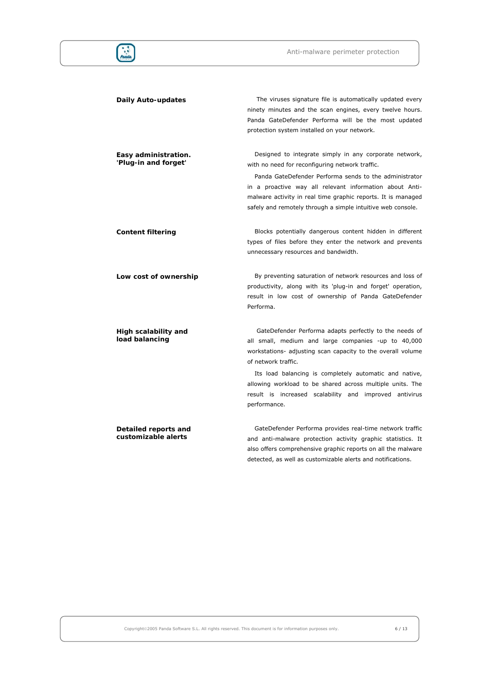

**customizable alerts** 

**Daily Auto-updates The viruses signature file is automatically updated every Daily** Autoninety minutes and the scan engines, every twelve hours. Panda GateDefender Performa will be the most updated protection system installed on your network. **Easy administration. 'Plug-in and forget'**  Designed to integrate simply in any corporate network, with no need for reconfiguring network traffic. Panda GateDefender Performa sends to the administrator in a proactive way all relevant information about Antimalware activity in real time graphic reports. It is managed safely and remotely through a simple intuitive web console. **Content filtering Blocks potentially dangerous content hidden in different** types of files before they enter the network and prevents unnecessary resources and bandwidth. **Low cost of ownership By preventing saturation of network resources and loss of** productivity, along with its 'plug-in and forget' operation, result in low cost of ownership of Panda GateDefender Performa. **High scalability and load balancing**  GateDefender Performa adapts perfectly to the needs of all small, medium and large companies -up to 40,000 workstations- adjusting scan capacity to the overall volume of network traffic. Its load balancing is completely automatic and native, allowing workload to be shared across multiple units. The result is increased scalability and improved antivirus performance. **Detailed reports and** 

GateDefender Performa provides real-time network traffic and anti-malware protection activity graphic statistics. It also offers comprehensive graphic reports on all the malware detected, as well as customizable alerts and notifications.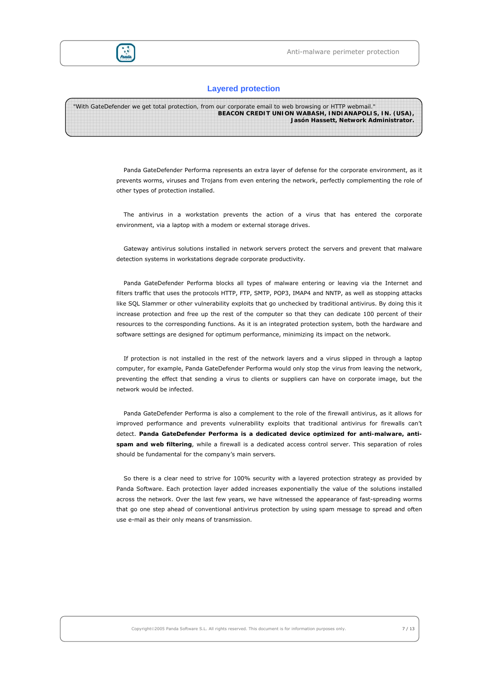



# **Layered protection**

| "With GateDefender we get total protection, from our corporate email to web browsing or HTTP webmail." |
|--------------------------------------------------------------------------------------------------------|
| <b>BEACON CREDIT UNION WABASH, INDIANAPOLIS, IN. (USA),</b>                                            |
| Jasón Hassett, Network Administrator.                                                                  |
|                                                                                                        |

Panda GateDefender Performa represents an extra layer of defense for the corporate environment, as it prevents worms, viruses and Trojans from even entering the network, perfectly complementing the role of other types of protection installed.

The antivirus in a workstation prevents the action of a virus that has entered the corporate environment, via a laptop with a modem or external storage drives.

Gateway antivirus solutions installed in network servers protect the servers and prevent that malware detection systems in workstations degrade corporate productivity.

Panda GateDefender Performa blocks all types of malware entering or leaving via the Internet and filters traffic that uses the protocols HTTP, FTP, SMTP, POP3, IMAP4 and NNTP, as well as stopping attacks like SQL Slammer or other vulnerability exploits that go unchecked by traditional antivirus. By doing this it increase protection and free up the rest of the computer so that they can dedicate 100 percent of their resources to the corresponding functions. As it is an integrated protection system, both the hardware and software settings are designed for optimum performance, minimizing its impact on the network.

If protection is not installed in the rest of the network layers and a virus slipped in through a laptop computer, for example, Panda GateDefender Performa would only stop the virus from leaving the network, preventing the effect that sending a virus to clients or suppliers can have on corporate image, but the network would be infected.

Panda GateDefender Performa is also a complement to the role of the firewall antivirus, as it allows for improved performance and prevents vulnerability exploits that traditional antivirus for firewalls can't detect. **Panda GateDefender Performa is a dedicated device optimized for anti-malware, antispam and web filtering**, while a firewall is a dedicated access control server. This separation of roles should be fundamental for the company's main servers.

So there is a clear need to strive for 100% security with a layered protection strategy as provided by Panda Software. Each protection layer added increases exponentially the value of the solutions installed across the network. Over the last few years, we have witnessed the appearance of fast-spreading worms that go one step ahead of conventional antivirus protection by using spam message to spread and often use e-mail as their only means of transmission.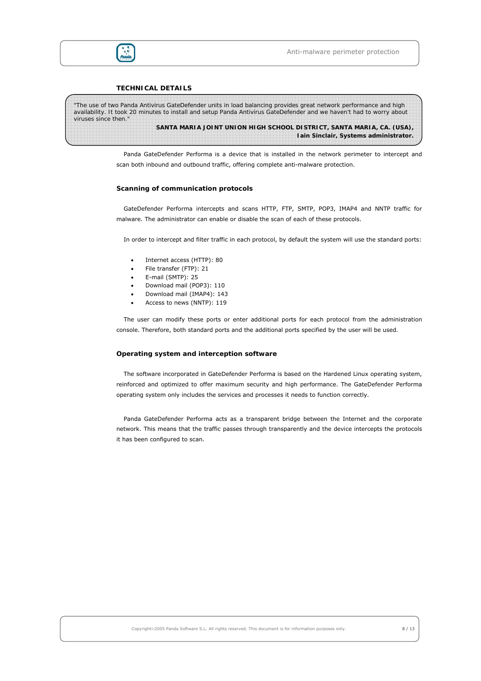

#### **TECHNICAL DETAILS**

*"The use of two Panda Antivirus GateDefender units in load balancing provides great network performance and high availability. It took 20 minutes to install and setup Panda Antivirus GateDefender and we haven't had to worry about viruses since then."*  **SANTA MARIA JOINT UNION HIGH SCHOOL DISTRICT, SANTA MARIA, CA. (USA), Iain Sinclair, Systems administrator.**

> Panda GateDefender Performa is a device that is installed in the network perimeter to intercept and scan both inbound and outbound traffic, offering complete anti-malware protection.

#### **Scanning of communication protocols**

GateDefender Performa intercepts and scans HTTP, FTP, SMTP, POP3, IMAP4 and NNTP traffic for malware. The administrator can enable or disable the scan of each of these protocols.

In order to intercept and filter traffic in each protocol, by default the system will use the standard ports:

- Internet access (HTTP): 80
- File transfer (FTP): 21
- E-mail (SMTP): 25
- Download mail (POP3): 110
- Download mail (IMAP4): 143
- Access to news (NNTP): 119

The user can modify these ports or enter additional ports for each protocol from the administration console. Therefore, both standard ports and the additional ports specified by the user will be used.

#### **Operating system and interception software**

The software incorporated in GateDefender Performa is based on the Hardened Linux operating system, reinforced and optimized to offer maximum security and high performance. The GateDefender Performa operating system only includes the services and processes it needs to function correctly.

Panda GateDefender Performa acts as a transparent bridge between the Internet and the corporate network. This means that the traffic passes through transparently and the device intercepts the protocols it has been configured to scan.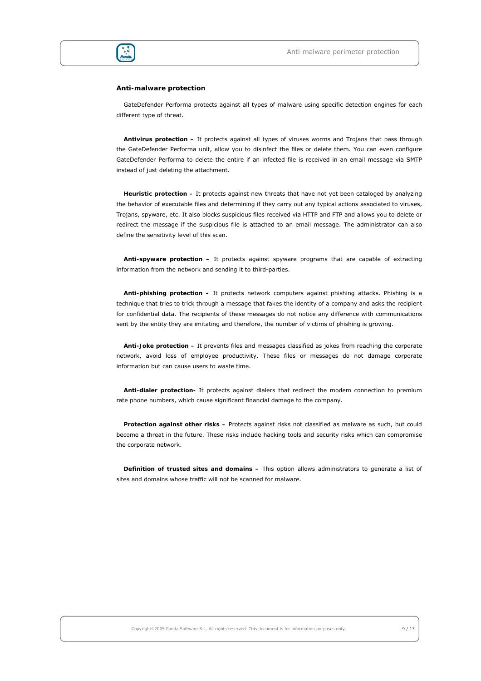

#### **Anti-malware protection**

GateDefender Performa protects against all types of malware using specific detection engines for each different type of threat.

**Antivirus protection –** It protects against all types of viruses worms and Trojans that pass through the GateDefender Performa unit, allow you to disinfect the files or delete them. You can even configure GateDefender Performa to delete the entire if an infected file is received in an email message via SMTP instead of just deleting the attachment.

**Heuristic protection –** It protects against new threats that have not yet been cataloged by analyzing the behavior of executable files and determining if they carry out any typical actions associated to viruses, Trojans, spyware, etc. It also blocks suspicious files received via HTTP and FTP and allows you to delete or redirect the message if the suspicious file is attached to an email message. The administrator can also define the sensitivity level of this scan.

**Anti-spyware protection –** It protects against spyware programs that are capable of extracting information from the network and sending it to third-parties.

**Anti-phishing protection –** It protects network computers against phishing attacks. Phishing is a technique that tries to trick through a message that fakes the identity of a company and asks the recipient for confidential data. The recipients of these messages do not notice any difference with communications sent by the entity they are imitating and therefore, the number of victims of phishing is growing.

**Anti-Joke protection –** It prevents files and messages classified as jokes from reaching the corporate network, avoid loss of employee productivity. These files or messages do not damage corporate information but can cause users to waste time.

**Anti-dialer protection-** It protects against dialers that redirect the modem connection to premium rate phone numbers, which cause significant financial damage to the company.

**Protection against other risks –** Protects against risks not classified as malware as such, but could become a threat in the future. These risks include hacking tools and security risks which can compromise the corporate network.

**Definition of trusted sites and domains –** This option allows administrators to generate a list of sites and domains whose traffic will not be scanned for malware.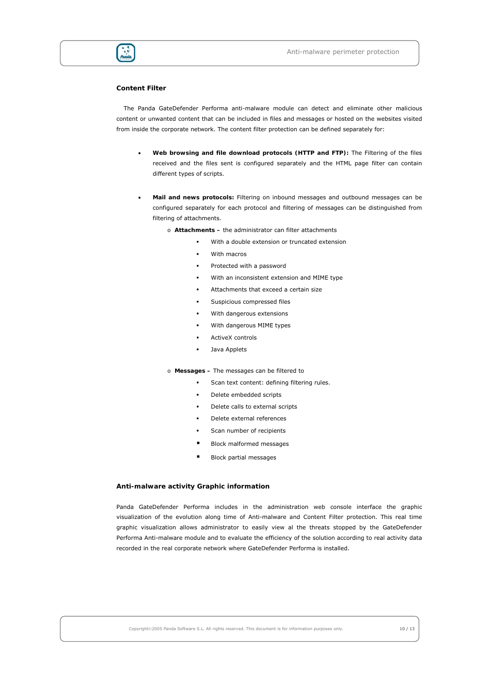

#### **Content Filter**

The Panda GateDefender Performa anti-malware module can detect and eliminate other malicious content or unwanted content that can be included in files and messages or hosted on the websites visited from inside the corporate network. The content filter protection can be defined separately for:

- **Web browsing and file download protocols (HTTP and FTP):** The Filtering of the files received and the files sent is configured separately and the HTML page filter can contain different types of scripts.
- **Mail and news protocols:** Filtering on inbound messages and outbound messages can be configured separately for each protocol and filtering of messages can be distinguished from filtering of attachments.
	- o **Attachments** the administrator can filter attachments
		- With a double extension or truncated extension
		- With macros
		- Protected with a password
		- With an inconsistent extension and MIME type
		- Attachments that exceed a certain size
		- Suspicious compressed files
		- With dangerous extensions
		- With dangerous MIME types
		- ActiveX controls
		- Java Applets

#### o **Messages –** The messages can be filtered to

- **Scan text content: defining filtering rules.**
- Delete embedded scripts
- Delete calls to external scripts
- Delete external references
- Scan number of recipients
- Block malformed messages
- Block partial messages

#### **Anti-malware activity Graphic information**

Panda GateDefender Performa includes in the administration web console interface the graphic visualization of the evolution along time of Anti-malware and Content Filter protection. This real time graphic visualization allows administrator to easily view al the threats stopped by the GateDefender Performa Anti-malware module and to evaluate the efficiency of the solution according to real activity data recorded in the real corporate network where GateDefender Performa is installed.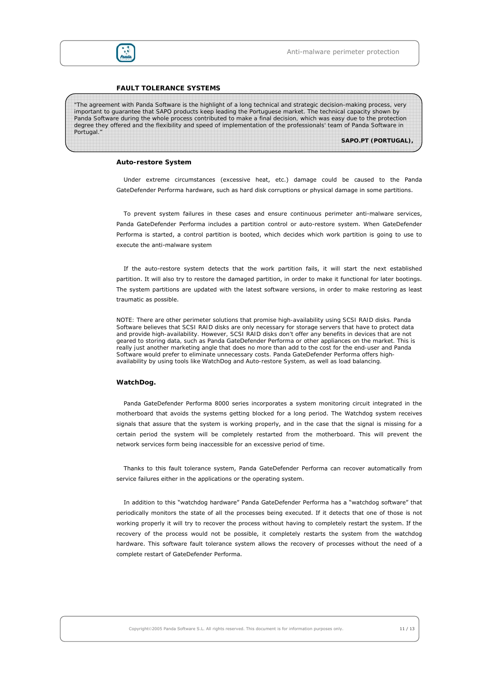

#### **FAULT TOLERANCE SYSTEMS**

*"The agreement with Panda Software is the highlight of a long technical and strategic decision-making process, very important to guarantee that SAPO products keep leading the Portuguese market. The technical capacity shown by*  Panda Software during the whole process contributed to make a final decision, which was easy due to the protection *degree they offered and the flexibility and speed of implementation of the professionals' team of Panda Software in Portugal."* 

**SAPO.PT (PORTUGAL),** 

#### **Auto-restore System**

Under extreme circumstances (excessive heat, etc.) damage could be caused to the Panda GateDefender Performa hardware, such as hard disk corruptions or physical damage in some partitions.

To prevent system failures in these cases and ensure continuous perimeter anti-malware services, Panda GateDefender Performa includes a partition control or auto-restore system. When GateDefender Performa is started, a control partition is booted, which decides which work partition is going to use to execute the anti-malware system

If the auto-restore system detects that the work partition fails, it will start the next established partition. It will also try to restore the damaged partition, in order to make it functional for later bootings. The system partitions are updated with the latest software versions, in order to make restoring as least traumatic as possible.

*NOTE: There are other perimeter solutions that promise high-availability using SCSI RAID disks. Panda Software believes that SCSI RAID disks are only necessary for storage servers that have to protect data and provide high-availability. However, SCSI RAID disks don't offer any benefits in devices that are not geared to storing data, such as Panda GateDefender Performa or other appliances on the market. This is really just another marketing angle that does no more than add to the cost for the end-user and Panda Software would prefer to eliminate unnecessary costs. Panda GateDefender Performa offers highavailability by using tools like WatchDog and Auto-restore System, as well as load balancing.* 

#### **WatchDog.**

Panda GateDefender Performa 8000 series incorporates a system monitoring circuit integrated in the motherboard that avoids the systems getting blocked for a long period. The Watchdog system receives signals that assure that the system is working properly, and in the case that the signal is missing for a certain period the system will be completely restarted from the motherboard. This will prevent the network services form being inaccessible for an excessive period of time.

Thanks to this fault tolerance system, Panda GateDefender Performa can recover automatically from service failures either in the applications or the operating system.

In addition to this "watchdog hardware" Panda GateDefender Performa has a "watchdog software" that periodically monitors the state of all the processes being executed. If it detects that one of those is not working properly it will try to recover the process without having to completely restart the system. If the recovery of the process would not be possible, it completely restarts the system from the watchdog hardware. This software fault tolerance system allows the recovery of processes without the need of a complete restart of GateDefender Performa.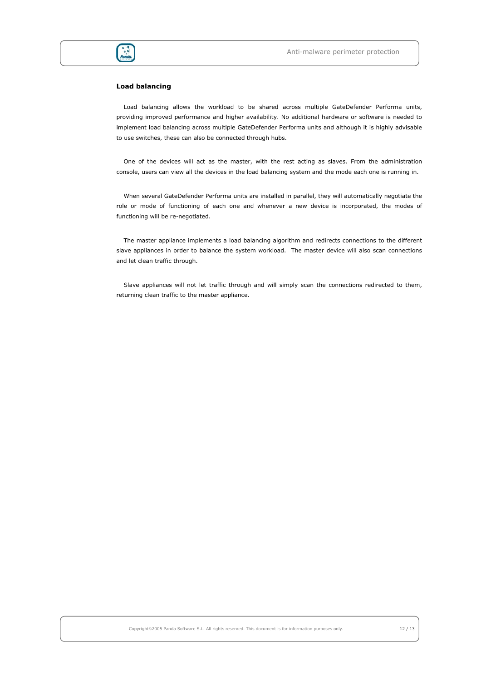

### **Load balancing**

Load balancing allows the workload to be shared across multiple GateDefender Performa units, providing improved performance and higher availability. No additional hardware or software is needed to implement load balancing across multiple GateDefender Performa units and although it is highly advisable to use switches, these can also be connected through hubs.

One of the devices will act as the master, with the rest acting as slaves. From the administration console, users can view all the devices in the load balancing system and the mode each one is running in.

When several GateDefender Performa units are installed in parallel, they will automatically negotiate the role or mode of functioning of each one and whenever a new device is incorporated, the modes of functioning will be re-negotiated.

The master appliance implements a load balancing algorithm and redirects connections to the different slave appliances in order to balance the system workload. The master device will also scan connections and let clean traffic through.

Slave appliances will not let traffic through and will simply scan the connections redirected to them, returning clean traffic to the master appliance.